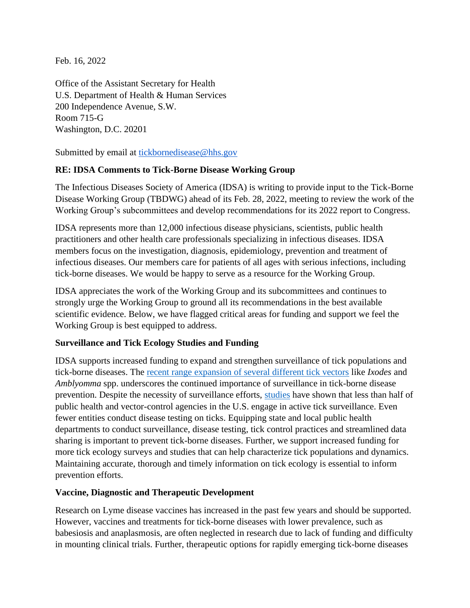Feb. 16, 2022

Office of the Assistant Secretary for Health U.S. Department of Health & Human Services 200 Independence Avenue, S.W. Room 715-G Washington, D.C. 20201

Submitted by email at [tickbornedisease@hhs.gov](mailto:tickbornedisease@hhs.gov)

## **RE: IDSA Comments to Tick-Borne Disease Working Group**

The Infectious Diseases Society of America (IDSA) is writing to provide input to the Tick-Borne Disease Working Group (TBDWG) ahead of its Feb. 28, 2022, meeting to review the work of the Working Group's subcommittees and develop recommendations for its 2022 report to Congress.

IDSA represents more than 12,000 infectious disease physicians, scientists, public health practitioners and other health care professionals specializing in infectious diseases. IDSA members focus on the investigation, diagnosis, epidemiology, prevention and treatment of infectious diseases. Our members care for patients of all ages with serious infections, including tick-borne diseases. We would be happy to serve as a resource for the Working Group.

IDSA appreciates the work of the Working Group and its subcommittees and continues to strongly urge the Working Group to ground all its recommendations in the best available scientific evidence. Below, we have flagged critical areas for funding and support we feel the Working Group is best equipped to address.

## **Surveillance and Tick Ecology Studies and Funding**

IDSA supports increased funding to expand and strengthen surveillance of tick populations and tick-borne diseases. The [recent range expansion of several different tick vectors](https://www.ncbi.nlm.nih.gov/pmc/articles/PMC5877023/#:~:text=Ticks%20have%20been%20expanding%20their,localities%20have%20increased%20in%20abundance.) like *Ixodes* and *Amblyomma* spp. underscores the continued importance of surveillance in tick-borne disease prevention. Despite the necessity of surveillance efforts, [studies](https://entomologytoday.org/2020/06/17/tick-management-surveillance-control-lagging-united-states/) have shown that less than half of public health and vector-control agencies in the U.S. engage in active tick surveillance. Even fewer entities conduct disease testing on ticks. Equipping state and local public health departments to conduct surveillance, disease testing, tick control practices and streamlined data sharing is important to prevent tick-borne diseases. Further, we support increased funding for more tick ecology surveys and studies that can help characterize tick populations and dynamics. Maintaining accurate, thorough and timely information on tick ecology is essential to inform prevention efforts.

## **Vaccine, Diagnostic and Therapeutic Development**

Research on Lyme disease vaccines has increased in the past few years and should be supported. However, vaccines and treatments for tick-borne diseases with lower prevalence, such as babesiosis and anaplasmosis, are often neglected in research due to lack of funding and difficulty in mounting clinical trials. Further, therapeutic options for rapidly emerging tick-borne diseases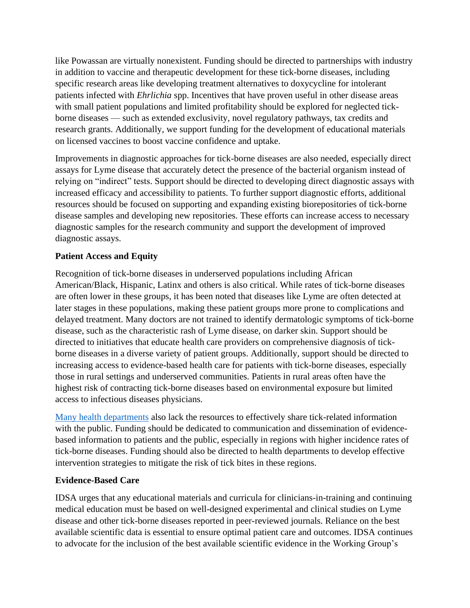like Powassan are virtually nonexistent. Funding should be directed to partnerships with industry in addition to vaccine and therapeutic development for these tick-borne diseases, including specific research areas like developing treatment alternatives to doxycycline for intolerant patients infected with *Ehrlichia* spp. Incentives that have proven useful in other disease areas with small patient populations and limited profitability should be explored for neglected tickborne diseases — such as extended exclusivity, novel regulatory pathways, tax credits and research grants. Additionally, we support funding for the development of educational materials on licensed vaccines to boost vaccine confidence and uptake.

Improvements in diagnostic approaches for tick-borne diseases are also needed, especially direct assays for Lyme disease that accurately detect the presence of the bacterial organism instead of relying on "indirect" tests. Support should be directed to developing direct diagnostic assays with increased efficacy and accessibility to patients. To further support diagnostic efforts, additional resources should be focused on supporting and expanding existing biorepositories of tick-borne disease samples and developing new repositories. These efforts can increase access to necessary diagnostic samples for the research community and support the development of improved diagnostic assays.

# **Patient Access and Equity**

Recognition of tick-borne diseases in underserved populations including African American/Black, Hispanic, Latinx and others is also critical. While rates of tick-borne diseases are often lower in these groups, it has been noted that diseases like Lyme are often detected at later stages in these populations, making these patient groups more prone to complications and delayed treatment. Many doctors are not trained to identify dermatologic symptoms of tick-borne disease, such as the characteristic rash of Lyme disease, on darker skin. Support should be directed to initiatives that educate health care providers on comprehensive diagnosis of tickborne diseases in a diverse variety of patient groups. Additionally, support should be directed to increasing access to evidence-based health care for patients with tick-borne diseases, especially those in rural settings and underserved communities. Patients in rural areas often have the highest risk of contracting tick-borne diseases based on environmental exposure but limited access to infectious diseases physicians.

[Many health departments](https://journals.plos.org/plosone/article?id=10.1371/journal.pone.0204609) also lack the resources to effectively share tick-related information with the public. Funding should be dedicated to communication and dissemination of evidencebased information to patients and the public, especially in regions with higher incidence rates of tick-borne diseases. Funding should also be directed to health departments to develop effective intervention strategies to mitigate the risk of tick bites in these regions.

## **Evidence-Based Care**

IDSA urges that any educational materials and curricula for clinicians-in-training and continuing medical education must be based on well-designed experimental and clinical studies on Lyme disease and other tick-borne diseases reported in peer-reviewed journals. Reliance on the best available scientific data is essential to ensure optimal patient care and outcomes. IDSA continues to advocate for the inclusion of the best available scientific evidence in the Working Group's